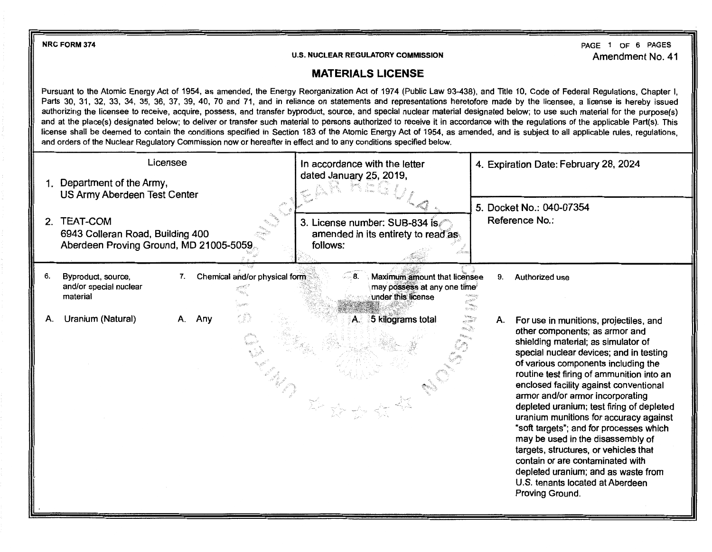**NRCFORM 374** 

**U.S. NUCLEAR REGULATORY COMMISSION** 

PAGE 1 OF 6 PAGES Amendment No. 41

## **MATERIALS LICENSE**

Pursuant to the Atomic Energy Act of 1954, as amended, the Energy Reorganization Act of 1974 (Public Law 93-438), and Title 10, Code of Federal Regulations, Chapter I, Parts 30, 31, 32, 33, 34, 35, 36, 37, 39, 40, 70 and 71, and in reliance on statements and representations heretofore made by the licensee, a license is hereby issued authorizing the licensee to receive, acquire, possess, and transfer byproduct, source, and special nuclear material designated below; to use such material for the purpose(s) and at the place(s) designated below; to deliver or transfer such material to persons authorized to receive it in accordance with the regulations of the applicable Part(s). This license shall be deemed to contain the conditions specified in Section 183 of the Atomic Energy Act of 1954, as amended, and is subject to all applicable rules, regulations, and orders of the Nuclear Regulatory Commission now or hereafter in effect and to any conditions specified below.

| Licensee<br>1. Department of the Army, |                                                                                                                               |    | In accordance with the letter<br>dated January 25, 2019, |                               |          | 4. Expiration Date: February 28, 2024                                             |                        |    |                                                                                                                                                                                                                                                                                                                                                                                                                                                                                                                                                                                                                                                                                |
|----------------------------------------|-------------------------------------------------------------------------------------------------------------------------------|----|----------------------------------------------------------|-------------------------------|----------|-----------------------------------------------------------------------------------|------------------------|----|--------------------------------------------------------------------------------------------------------------------------------------------------------------------------------------------------------------------------------------------------------------------------------------------------------------------------------------------------------------------------------------------------------------------------------------------------------------------------------------------------------------------------------------------------------------------------------------------------------------------------------------------------------------------------------|
| 2 <sub>1</sub>                         | US Army Aberdeen Test Center<br><b>TEAT-COM</b><br>6943 Colleran Road, Building 400<br>Aberdeen Proving Ground, MD 21005-5059 |    |                                                          |                               | follows: | 3. License number: SUB-834 is<br>amended in its entirety to read as.              |                        |    | 5. Docket No.: 040-07354<br>Reference No.:                                                                                                                                                                                                                                                                                                                                                                                                                                                                                                                                                                                                                                     |
| 6.                                     | Byproduct, source,<br>and/or special nuclear<br>material                                                                      | 7. |                                                          | Chemical and/or physical form |          | Maximum amount that licensee<br>may possess at any one time<br>under this license | 恐吓破??                  | 9. | Authorized use                                                                                                                                                                                                                                                                                                                                                                                                                                                                                                                                                                                                                                                                 |
| А.                                     | Uranium (Natural)                                                                                                             | А. | Any                                                      | r in                          |          | 5 kilograms total                                                                 | 80.2557<br>e.<br>Kanpo | А. | For use in munitions, projectiles, and<br>other components; as armor and<br>shielding material; as simulator of<br>special nuclear devices; and in testing<br>of various components including the<br>routine test firing of ammunition into an<br>enclosed facility against conventional<br>armor and/or armor incorporating<br>depleted uranium; test firing of depleted<br>uranium munitions for accuracy against<br>"soft targets"; and for processes which<br>may be used in the disassembly of<br>targets, structures, or vehicles that<br>contain or are contaminated with<br>depleted uranium; and as waste from<br>U.S. tenants located at Aberdeen<br>Proving Ground. |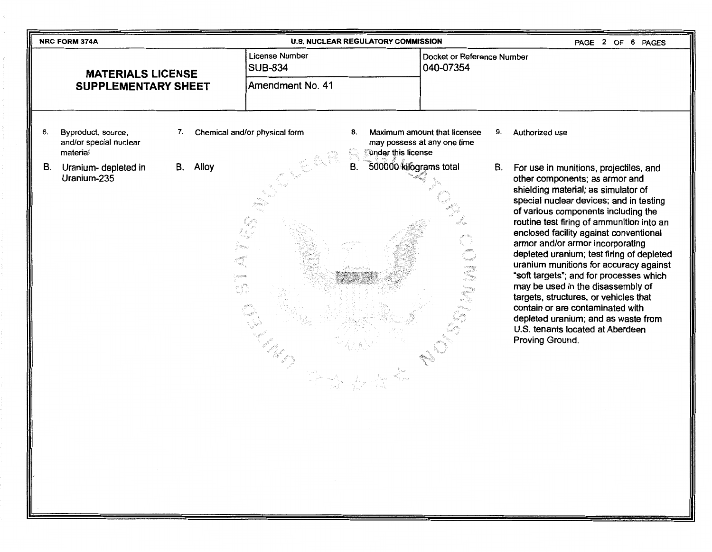|                                                        | <b>U.S. NUCLEAR REGULATORY COMMISSION</b><br>PAGE 2 OF 6 PAGES<br><b>NRC FORM 374A</b> |                                                                    |                                         |                                         |                               |                                 |                                                             |    |                                                                                                                                                                                                                                                                                                                                                                                                                                                                                                                                                                                                                                                                                |
|--------------------------------------------------------|----------------------------------------------------------------------------------------|--------------------------------------------------------------------|-----------------------------------------|-----------------------------------------|-------------------------------|---------------------------------|-------------------------------------------------------------|----|--------------------------------------------------------------------------------------------------------------------------------------------------------------------------------------------------------------------------------------------------------------------------------------------------------------------------------------------------------------------------------------------------------------------------------------------------------------------------------------------------------------------------------------------------------------------------------------------------------------------------------------------------------------------------------|
| <b>MATERIALS LICENSE</b><br><b>SUPPLEMENTARY SHEET</b> |                                                                                        |                                                                    | <b>License Number</b><br><b>SUB-834</b> | Docket or Reference Number<br>040-07354 |                               |                                 |                                                             |    |                                                                                                                                                                                                                                                                                                                                                                                                                                                                                                                                                                                                                                                                                |
|                                                        |                                                                                        |                                                                    | Amendment No. 41                        |                                         |                               |                                 |                                                             |    |                                                                                                                                                                                                                                                                                                                                                                                                                                                                                                                                                                                                                                                                                |
|                                                        | 6.                                                                                     | Byproduct, source,<br>and/or special nuclear<br>material           | 7.                                      |                                         | Chemical and/or physical form | 8.<br><b>under this license</b> | Maximum amount that licensee<br>may possess at any one time | 9. | Authorized use                                                                                                                                                                                                                                                                                                                                                                                                                                                                                                                                                                                                                                                                 |
|                                                        | В.                                                                                     | Uranium- depleted in<br>Uranium-235<br>$\sim 10^{11}$ km s $^{-1}$ |                                         | B. Alloy<br>$\sim 6\%$<br>tf.           | W.<br>and the state           | 500000 kilograms total<br>В.    |                                                             | В. | For use in munitions, projectiles, and<br>other components; as armor and<br>shielding material; as simulator of<br>special nuclear devices; and in testing<br>of various components including the<br>routine test firing of ammunition into an<br>enclosed facility against conventional<br>armor and/or armor incorporating<br>depleted uranium; test firing of depleted<br>uranium munitions for accuracy against<br>"soft targets"; and for processes which<br>may be used in the disassembly of<br>targets, structures, or vehicles that<br>contain or are contaminated with<br>depleted uranium; and as waste from<br>U.S. tenants located at Aberdeen<br>Proving Ground. |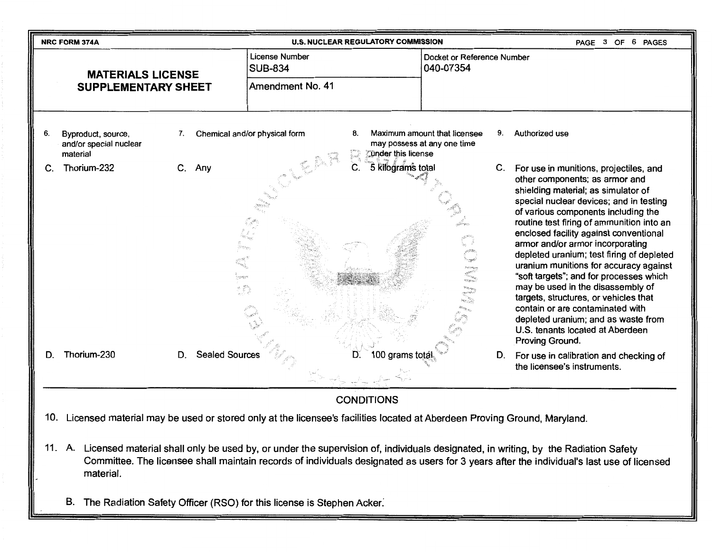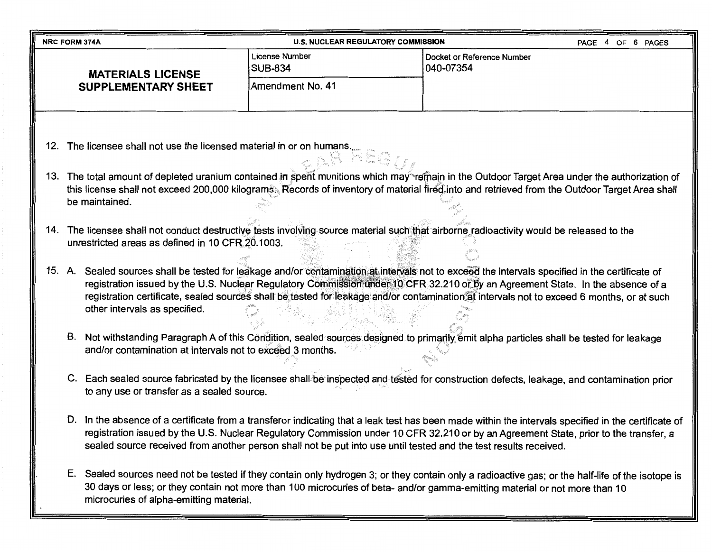| <b>U.S. NUCLEAR REGULATORY COMMISSION</b><br>OF 6 PAGES<br>PAGE 4<br><b>NRC FORM 374A</b> |                                                                                                                                                                                                                                                                                                                   |                                                                                                                                                                                                                                                                                                                                                                                                                 |                                  |                                                                                                                                                                                                                                                                                                                                                                                                                                 |  |  |  |
|-------------------------------------------------------------------------------------------|-------------------------------------------------------------------------------------------------------------------------------------------------------------------------------------------------------------------------------------------------------------------------------------------------------------------|-----------------------------------------------------------------------------------------------------------------------------------------------------------------------------------------------------------------------------------------------------------------------------------------------------------------------------------------------------------------------------------------------------------------|----------------------------------|---------------------------------------------------------------------------------------------------------------------------------------------------------------------------------------------------------------------------------------------------------------------------------------------------------------------------------------------------------------------------------------------------------------------------------|--|--|--|
|                                                                                           | <b>MATERIALS LICENSE</b><br><b>SUPPLEMENTARY SHEET</b>                                                                                                                                                                                                                                                            |                                                                                                                                                                                                                                                                                                                                                                                                                 | License Number<br><b>SUB-834</b> | Docket or Reference Number<br>040-07354                                                                                                                                                                                                                                                                                                                                                                                         |  |  |  |
|                                                                                           |                                                                                                                                                                                                                                                                                                                   |                                                                                                                                                                                                                                                                                                                                                                                                                 | Amendment No. 41                 |                                                                                                                                                                                                                                                                                                                                                                                                                                 |  |  |  |
|                                                                                           |                                                                                                                                                                                                                                                                                                                   | 12. The licensee shall not use the licensed material in or on humans.                                                                                                                                                                                                                                                                                                                                           |                                  |                                                                                                                                                                                                                                                                                                                                                                                                                                 |  |  |  |
|                                                                                           | 13. The total amount of depleted uranium contained in spent munitions which may refinain in the Outdoor Target Area under the authorization of<br>this license shall not exceed 200,000 kilograms. Records of inventory of material fired into and retrieved from the Outdoor Target Area shall<br>be maintained. |                                                                                                                                                                                                                                                                                                                                                                                                                 |                                  |                                                                                                                                                                                                                                                                                                                                                                                                                                 |  |  |  |
|                                                                                           |                                                                                                                                                                                                                                                                                                                   | 14. The licensee shall not conduct destructive tests involving source material such that airborne radioactivity would be released to the<br>unrestricted areas as defined in 10 CFR 20.1003.                                                                                                                                                                                                                    |                                  |                                                                                                                                                                                                                                                                                                                                                                                                                                 |  |  |  |
|                                                                                           |                                                                                                                                                                                                                                                                                                                   | other intervals as specified.                                                                                                                                                                                                                                                                                                                                                                                   |                                  | 15. A. Sealed sources shall be tested for leakage and/or contamination at intervals not to exceed the intervals specified in the certificate of<br>registration issued by the U.S. Nuclear Regulatory Commission under 10 CFR 32.210 or by an Agreement State. In the absence of a<br>registration certificate, sealed sources shall be tested for leakage and/or contamination at intervals not to exceed 6 months, or at such |  |  |  |
|                                                                                           | В.                                                                                                                                                                                                                                                                                                                | and/or contamination at intervals not to exceed 3 months.                                                                                                                                                                                                                                                                                                                                                       |                                  | Not withstanding Paragraph A of this Condition, sealed sources designed to primanly emit alpha particles shall be tested for leakage                                                                                                                                                                                                                                                                                            |  |  |  |
|                                                                                           |                                                                                                                                                                                                                                                                                                                   | C. Each sealed source fabricated by the licensee shall be inspected and tested for construction defects, leakage, and contamination prior<br>to any use or transfer as a sealed source.                                                                                                                                                                                                                         |                                  |                                                                                                                                                                                                                                                                                                                                                                                                                                 |  |  |  |
|                                                                                           |                                                                                                                                                                                                                                                                                                                   | D. In the absence of a certificate from a transferor indicating that a leak test has been made within the intervals specified in the certificate of<br>registration issued by the U.S. Nuclear Regulatory Commission under 10 CFR 32.210 or by an Agreement State, prior to the transfer, a<br>sealed source received from another person shall not be put into use until tested and the test results received. |                                  |                                                                                                                                                                                                                                                                                                                                                                                                                                 |  |  |  |
|                                                                                           | Е.                                                                                                                                                                                                                                                                                                                | microcuries of alpha-emitting material.                                                                                                                                                                                                                                                                                                                                                                         |                                  | Sealed sources need not be tested if they contain only hydrogen 3; or they contain only a radioactive gas; or the half-life of the isotope is<br>30 days or less; or they contain not more than 100 microcuries of beta- and/or gamma-emitting material or not more than 10                                                                                                                                                     |  |  |  |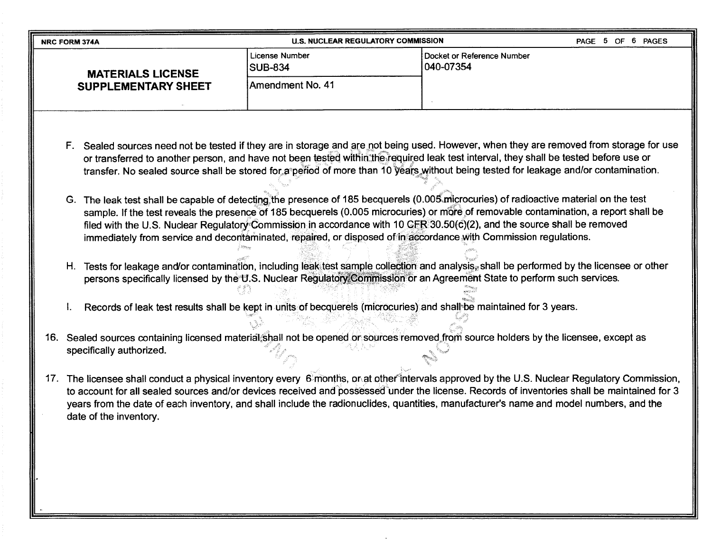| <b>NRC FORM 374A</b>       | U.S. NUCLEAR REGULATORY COMMISSION                                                                                                      | PAGE 5 OF 6 PAGES                       |  |
|----------------------------|-----------------------------------------------------------------------------------------------------------------------------------------|-----------------------------------------|--|
| <b>MATERIALS LICENSE</b>   | License Number<br><b>SUB-834</b>                                                                                                        | Docket or Reference Number<br>040-07354 |  |
| <b>SUPPLEMENTARY SHEET</b> | Amendment No. 41                                                                                                                        |                                         |  |
|                            | F. Sealed sources need not be tested if they are in storage and are not being used. However, when they are removed from storage for use |                                         |  |

- H. Tests for leakage and/or contamination, including leak test sample collection and analysis, shall be performed by the licensee or other persons specifically licensed by the U.S. Nuclear Regulatory Commission or an Agreement State to perform such services.
- Records of leak test results shall be kept in units of becquerels (microcuries) and shall be maintained for 3 years.
- 16. Sealed sources containing licensed material shall not be opened or sources removed from source holders by the licensee, except as specifically authorized.
- 17. The licensee shall conduct a physical inventory every 6 months, or at other intervals approved by the U.S. Nuclear Regulatory Commission, to account for all sealed sources and/or devices received and possessed under the license. Records of inventories shall be maintained for 3 years from the date of each inventory, and shall include the radionuclides, quantities, manufacturer's name and model numbers, and the date of the inventory.